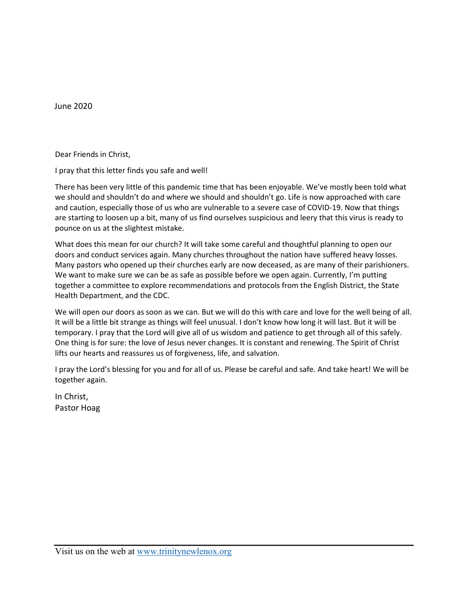June 2020

Dear Friends in Christ,

I pray that this letter finds you safe and well!

There has been very little of this pandemic time that has been enjoyable. We've mostly been told what we should and shouldn't do and where we should and shouldn't go. Life is now approached with care and caution, especially those of us who are vulnerable to a severe case of COVID-19. Now that things are starting to loosen up a bit, many of us find ourselves suspicious and leery that this virus is ready to pounce on us at the slightest mistake.

What does this mean for our church? It will take some careful and thoughtful planning to open our doors and conduct services again. Many churches throughout the nation have suffered heavy losses. Many pastors who opened up their churches early are now deceased, as are many of their parishioners. We want to make sure we can be as safe as possible before we open again. Currently, I'm putting together a committee to explore recommendations and protocols from the English District, the State Health Department, and the CDC.

We will open our doors as soon as we can. But we will do this with care and love for the well being of all. It will be a little bit strange as things will feel unusual. I don't know how long it will last. But it will be temporary. I pray that the Lord will give all of us wisdom and patience to get through all of this safely. One thing is for sure: the love of Jesus never changes. It is constant and renewing. The Spirit of Christ lifts our hearts and reassures us of forgiveness, life, and salvation.

I pray the Lord's blessing for you and for all of us. Please be careful and safe. And take heart! We will be together again.

In Christ, Pastor Hoag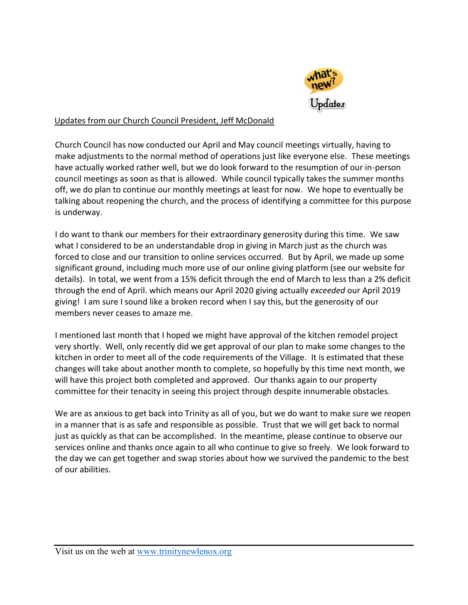

## Updates from our Church Council President, Jeff McDonald

Church Council has now conducted our April and May council meetings virtually, having to make adjustments to the normal method of operations just like everyone else. These meetings have actually worked rather well, but we do look forward to the resumption of our in-person council meetings as soon as that is allowed. While council typically takes the summer months off, we do plan to continue our monthly meetings at least for now. We hope to eventually be talking about reopening the church, and the process of identifying a committee for this purpose is underway.

I do want to thank our members for their extraordinary generosity during this time. We saw what I considered to be an understandable drop in giving in March just as the church was forced to close and our transition to online services occurred. But by April, we made up some significant ground, including much more use of our online giving platform (see our website for details). In total, we went from a 15% deficit through the end of March to less than a 2% deficit through the end of April. which means our April 2020 giving actually *exceeded* our April 2019 giving! I am sure I sound like a broken record when I say this, but the generosity of our members never ceases to amaze me.

I mentioned last month that I hoped we might have approval of the kitchen remodel project very shortly. Well, only recently did we get approval of our plan to make some changes to the kitchen in order to meet all of the code requirements of the Village. It is estimated that these changes will take about another month to complete, so hopefully by this time next month, we will have this project both completed and approved. Our thanks again to our property committee for their tenacity in seeing this project through despite innumerable obstacles.

We are as anxious to get back into Trinity as all of you, but we do want to make sure we reopen in a manner that is as safe and responsible as possible. Trust that we will get back to normal just as quickly as that can be accomplished. In the meantime, please continue to observe our services online and thanks once again to all who continue to give so freely. We look forward to the day we can get together and swap stories about how we survived the pandemic to the best of our abilities.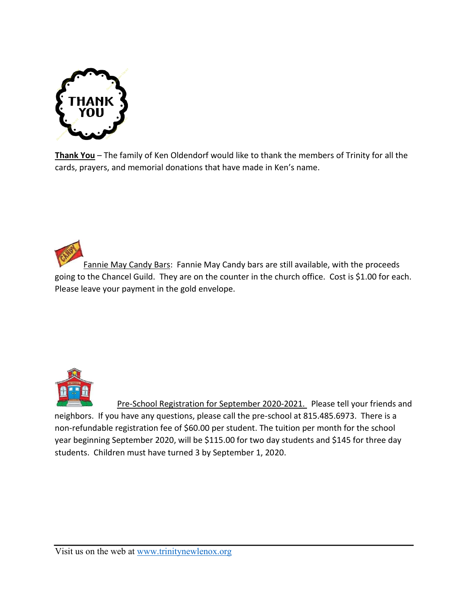

**Thank You** – The family of Ken Oldendorf would like to thank the members of Trinity for all the cards, prayers, and memorial donations that have made in Ken's name.

Fannie May Candy Bars: Fannie May Candy bars are still available, with the proceeds going to the Chancel Guild. They are on the counter in the church office. Cost is \$1.00 for each. Please leave your payment in the gold envelope.



Pre-School Registration for September 2020-2021. Please tell your friends and neighbors. If you have any questions, please call the pre-school at 815.485.6973. There is a non-refundable registration fee of \$60.00 per student. The tuition per month for the school year beginning September 2020, will be \$115.00 for two day students and \$145 for three day students. Children must have turned 3 by September 1, 2020.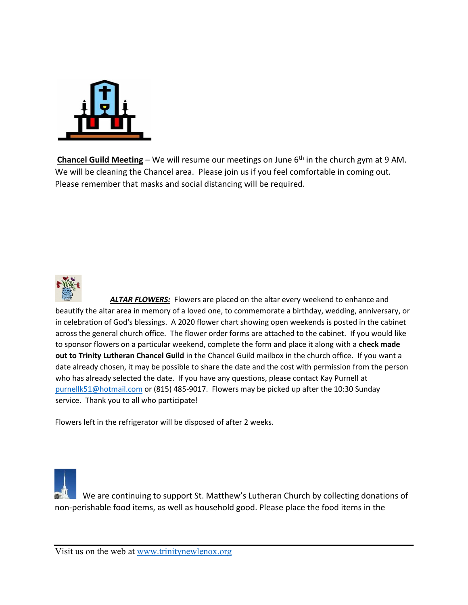

**Chancel Guild Meeting** – We will resume our meetings on June 6<sup>th</sup> in the church gym at 9 AM. We will be cleaning the Chancel area. Please join us if you feel comfortable in coming out. Please remember that masks and social distancing will be required.



*ALTAR FLOWERS:* Flowers are placed on the altar every weekend to enhance and beautify the altar area in memory of a loved one, to commemorate a birthday, wedding, anniversary, or in celebration of God's blessings. A 2020 flower chart showing open weekends is posted in the cabinet across the general church office. The flower order forms are attached to the cabinet. If you would like to sponsor flowers on a particular weekend, complete the form and place it along with a **check made out to Trinity Lutheran Chancel Guild** in the Chancel Guild mailbox in the church office. If you want a date already chosen, it may be possible to share the date and the cost with permission from the person who has already selected the date. If you have any questions, please contact Kay Purnell at [purnellk51@hotmail.com](mailto:purnellk51@hotmail.com) or (815) 485-9017. Flowers may be picked up after the 10:30 Sunday service. Thank you to all who participate!

Flowers left in the refrigerator will be disposed of after 2 weeks.

 We are continuing to support St. Matthew's Lutheran Church by collecting donations of non-perishable food items, as well as household good. Please place the food items in the